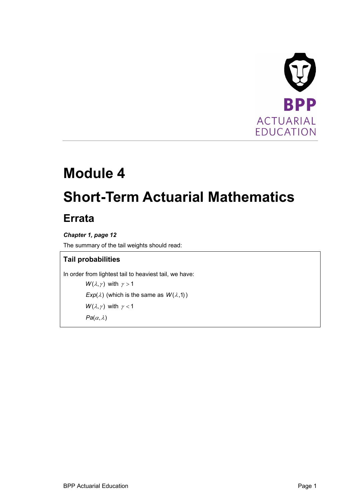

# **Module 4 Short-Term Actuarial Mathematics**

# **Errata**

# *Chapter 1, page 12*

The summary of the tail weights should read:

# **Tail probabilities**

In order from lightest tail to heaviest tail, we have:

```
W(\lambda, \gamma) with \gamma > 1Exp(\lambda) (which is the same as W(\lambda,1))
W(\lambda, \gamma) with \gamma < 1Pa(\alpha,\lambda)
```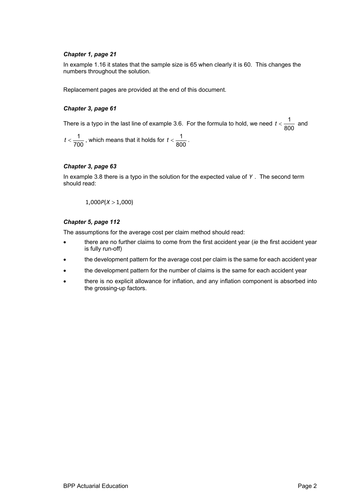#### *Chapter 1, page 21*

In example 1.16 it states that the sample size is 65 when clearly it is 60. This changes the numbers throughout the solution.

Replacement pages are provided at the end of this document.

#### *Chapter 3, page 61*

There is a typo in the last line of example 3.6. For the formula to hold, we need  $t < \frac{1}{\sqrt{2}}$  $t < \frac{1}{800}$  and

 $\frac{1}{1}$  $t < \displaystyle\frac{1}{700}$  , which means that it holds for  $\displaystyle\frac{1}{80}$  $t < \frac{1}{800}$ .

#### *Chapter 3, page 63*

In example 3.8 there is a typo in the solution for the expected value of *Y* . The second term should read:

$$
1{,}000P(X>1{,}000)
$$

#### *Chapter 5, page 112*

The assumptions for the average cost per claim method should read:

- there are no further claims to come from the first accident year (*ie* the first accident year is fully run-off)
- the development pattern for the average cost per claim is the same for each accident year
- the development pattern for the number of claims is the same for each accident year
- there is no explicit allowance for inflation, and any inflation component is absorbed into the grossing-up factors.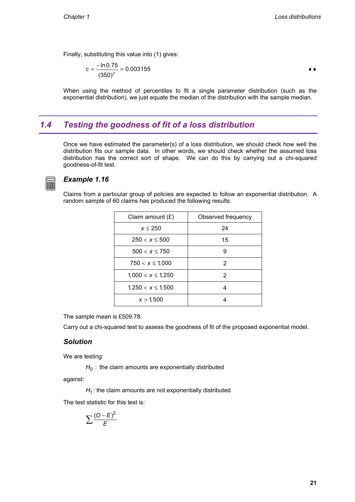Finally, substituting this value into (1) gives:

$$
c = \frac{-\ln 0.75}{(350)^{\gamma}} = 0.003155
$$

When using the method of percentiles to fit a single parameter distribution (such as the exponential distribution), we just equate the median of the distribution with the sample median.

# *1.4 Testing the goodness of fit of a loss distribution*

Once we have estimated the parameter(s) of a loss distribution, we should check how well the distribution fits our sample data. In other words, we should check whether the assumed loss distribution has the correct sort of shape. We can do this by carrying out a chi-squared goodness-of-fit test.



### *Example 1.16*

Claims from a particular group of policies are expected to follow an exponential distribution. A random sample of 60 claims has produced the following results:

| Claim amount $(E)$     | Observed frequency |
|------------------------|--------------------|
| $x \leq 250$           | 24                 |
| $250 < x \le 500$      | 15                 |
| $500 < x \le 750$      | 9                  |
| $750 < x \leq 1,000$   | 2                  |
| $1,000 < x \leq 1,250$ | 2                  |
| $1,250 < x \leq 1,500$ | 4                  |
| x > 1.500              |                    |

The sample mean is £509.78.

Carry out a chi-squared test to assess the goodness of fit of the proposed exponential model.

#### *Solution*

We are testing:

 $H_0$ : the claim amounts are exponentially distributed

against:

 $H_1$ : the claim amounts are not exponentially distributed

The test statistic for this test is:

$$
\sum \frac{(O-E)^2}{E}
$$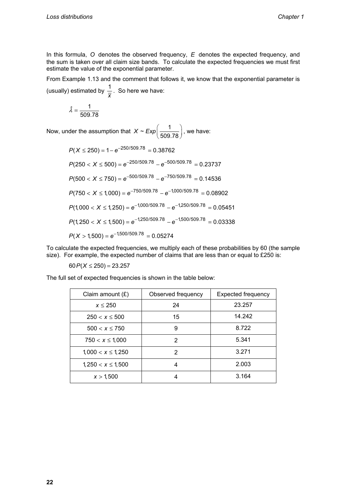In this formula, *O* denotes the observed frequency, *E* denotes the expected frequency, and the sum is taken over all claim size bands. To calculate the expected frequencies we must first estimate the value of the exponential parameter.

From Example 1.13 and the comment that follows it, we know that the exponential parameter is (usually) estimated by  $\frac{1}{\overline{x}}$ . So here we have:

$$
\hat{\lambda} = \frac{1}{509.78}
$$

Now, under the assumption that  $X \sim Exp \left( \frac{1}{509.78} \right)$ , we have:

 $P(X \le 250) = 1 - e^{-250/509.78} = 0.38762$  $P(250 < X \le 500) = e^{-250/509.78} - e^{-500/509.78} = 0.23737$  $P(500 < X \le 750) = e^{-500/509.78} - e^{-750/509.78} = 0.14536$  $P(750 < X \le 1,000) = e^{-750/509.78} - e^{-1,000/509.78} = 0.08902$  $P(1,000 < X \le 1,250) = e^{-1,000/509.78} - e^{-1,250/509.78} = 0.05451$  $P(1,250 < X \le 1,500) = e^{-1,250/509.78} - e^{-1,500/509.78} = 0.03338$  $P(X > 1,500) = e^{-1,500/509.78} = 0.05274$ 

To calculate the expected frequencies, we multiply each of these probabilities by 60 (the sample size). For example, the expected number of claims that are less than or equal to £250 is:

 $60 P(X \leq 250) = 23.257$ 

The full set of expected frequencies is shown in the table below:

| Claim amount $(E)$     | Observed frequency | <b>Expected frequency</b> |
|------------------------|--------------------|---------------------------|
| $x \leq 250$           | 24                 | 23.257                    |
| $250 < x \le 500$      | 15                 | 14.242                    |
| $500 < x \le 750$      | 9                  | 8.722                     |
| $750 < x \leq 1,000$   | 2                  | 5.341                     |
| $1,000 < x \leq 1,250$ | 2                  | 3.271                     |
| $1,250 < x \leq 1,500$ | 4                  | 2.003                     |
| x > 1,500              | 4                  | 3.164                     |